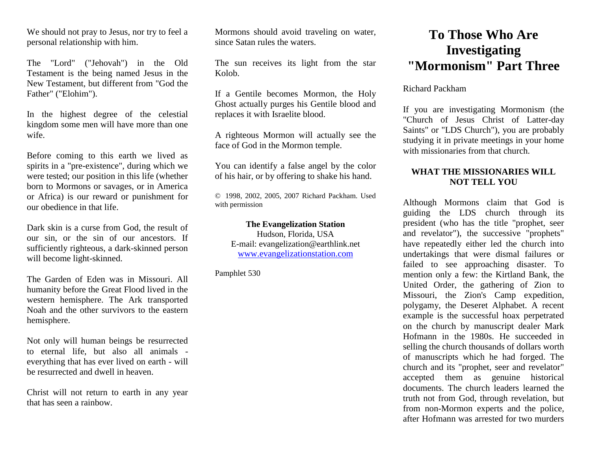We should not pray to Jesus, nor try to feel a personal relationship with him.

The "Lord" ("Jehovah") in the Old Testament is the being named Jesus in the New Testament, but different from "God the Father" ("Elohim").

In the highest degree of the celestial kingdom some men will have more than one wife.

Before coming to this earth we lived as spirits in a "pre-existence", during which we were tested; our position in this life (whether born to Mormons or savages, or in America or Africa) is our reward or punishment for our obedience in that life.

Dark skin is a curse from God, the result of our sin, or the sin of our ancestors. If sufficiently righteous, a dark-skinned person will become light-skinned.

The Garden of Eden was in Missouri. All humanity before the Great Flood lived in the western hemisphere. The Ark transported Noah and the other survivors to the eastern hemisphere.

Not only will human beings be resurrected to eternal life, but also all animals everything that has ever lived on earth - will be resurrected and dwell in heaven.

Christ will not return to earth in any year that has seen a rainbow.

Mormons should avoid traveling on water, since Satan rules the waters.

The sun receives its light from the star Kolob.

If a Gentile becomes Mormon, the Holy Ghost actually purges his Gentile blood and replaces it with Israelite blood.

A righteous Mormon will actually see the face of God in the Mormon temple.

You can identify a false angel by the color of his hair, or by offering to shake his hand.

© 1998, 2002, 2005, 2007 Richard Packham. Used with permission

## **The Evangelization Station**

Hudson, Florida, USA E-mail: evangelization@earthlink.net [www.evangelizationstation.com](http://www.pjpiisoe.org/)

Pamphlet 530

## **To Those Who Are Investigating "Mormonism" Part Three**

## Richard Packham

If you are investigating Mormonism (the "Church of Jesus Christ of Latter-day Saints" or "LDS Church"), you are probably studying it in private meetings in your home with missionaries from that church.

## **WHAT THE MISSIONARIES WILL NOT TELL YOU**

Although Mormons claim that God is guiding the LDS church through its president (who has the title "prophet, seer and revelator"), the successive "prophets" have repeatedly either led the church into undertakings that were dismal failures or failed to see approaching disaster. To mention only a few: the Kirtland Bank, the United Order, the gathering of Zion to Missouri, the Zion's Camp expedition, polygamy, the Deseret Alphabet. A recent example is the successful hoax perpetrated on the church by manuscript dealer Mark Hofmann in the 1980s. He succeeded in selling the church thousands of dollars worth of manuscripts which he had forged. The church and its "prophet, seer and revelator" accepted them as genuine historical documents. The church leaders learned the truth not from God, through revelation, but from non-Mormon experts and the police, after Hofmann was arrested for two murders